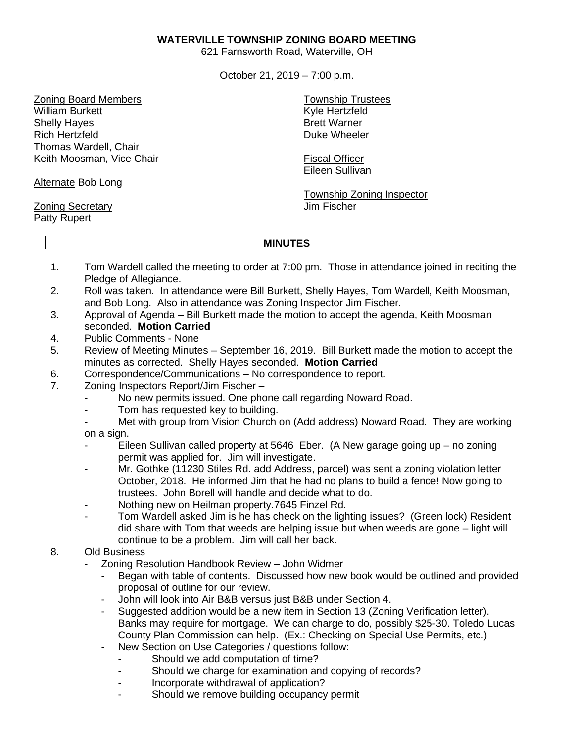## **WATERVILLE TOWNSHIP ZONING BOARD MEETING**

621 Farnsworth Road, Waterville, OH

October 21, 2019 – 7:00 p.m.

Zoning Board Members William Burkett Shelly Hayes Rich Hertzfeld Thomas Wardell, Chair Keith Moosman, Vice Chair

Alternate Bob Long

Zoning Secretary Patty Rupert

Township Trustees Kyle Hertzfeld Brett Warner Duke Wheeler

Fiscal Officer Eileen Sullivan

Township Zoning Inspector Jim Fischer

## **MINUTES**

- 1. Tom Wardell called the meeting to order at 7:00 pm. Those in attendance joined in reciting the Pledge of Allegiance.
- 2. Roll was taken. In attendance were Bill Burkett, Shelly Hayes, Tom Wardell, Keith Moosman, and Bob Long. Also in attendance was Zoning Inspector Jim Fischer.
- 3. Approval of Agenda Bill Burkett made the motion to accept the agenda, Keith Moosman seconded. **Motion Carried**
- 4. Public Comments None
- 5. Review of Meeting Minutes September 16, 2019. Bill Burkett made the motion to accept the minutes as corrected. Shelly Hayes seconded. **Motion Carried**
- 6. Correspondence/Communications No correspondence to report.
- 7. Zoning Inspectors Report/Jim Fischer
	- No new permits issued. One phone call regarding Noward Road.
	- Tom has requested key to building.
	- Met with group from Vision Church on (Add address) Noward Road. They are working on a sign.
	- Eileen Sullivan called property at 5646 Eber. (A New garage going up  $-$  no zoning permit was applied for. Jim will investigate.
	- Mr. Gothke (11230 Stiles Rd. add Address, parcel) was sent a zoning violation letter October, 2018. He informed Jim that he had no plans to build a fence! Now going to trustees. John Borell will handle and decide what to do.
	- Nothing new on Heilman property.7645 Finzel Rd.
	- Tom Wardell asked Jim is he has check on the lighting issues? (Green lock) Resident did share with Tom that weeds are helping issue but when weeds are gone – light will continue to be a problem. Jim will call her back.
- 8. Old Business
	- Zoning Resolution Handbook Review John Widmer
		- Began with table of contents. Discussed how new book would be outlined and provided proposal of outline for our review.
		- John will look into Air B&B versus just B&B under Section 4.
		- Suggested addition would be a new item in Section 13 (Zoning Verification letter). Banks may require for mortgage. We can charge to do, possibly \$25-30. Toledo Lucas County Plan Commission can help. (Ex.: Checking on Special Use Permits, etc.)
		- New Section on Use Categories / questions follow:
			- Should we add computation of time?
			- Should we charge for examination and copying of records?
			- Incorporate withdrawal of application?
			- Should we remove building occupancy permit